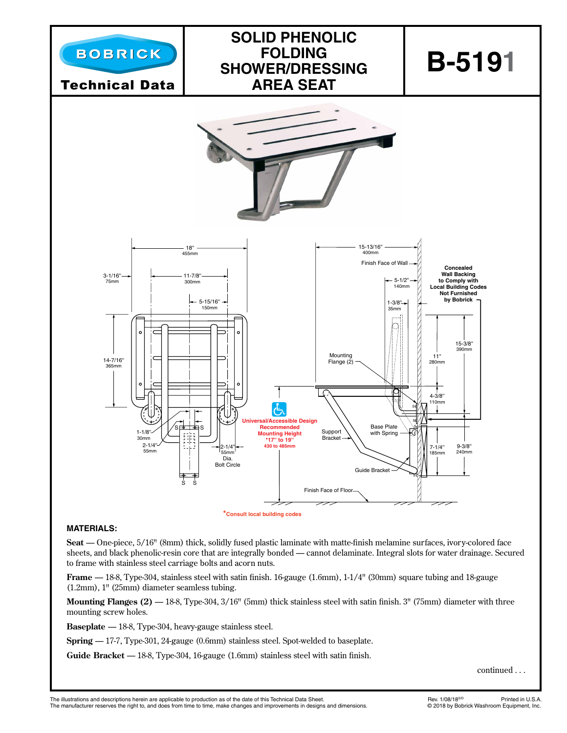

#### **MATERIALS:**

**Seat** — One-piece, 5/16" (8mm) thick, solidly fused plastic laminate with matte-finish melamine surfaces, ivory-colored face sheets, and black phenolic-resin core that are integrally bonded — cannot delaminate. Integral slots for water drainage. Secured to frame with stainless steel carriage bolts and acorn nuts.

**Frame**  $-18-8$ , Type-304, stainless steel with satin finish. 16-gauge (1.6mm), 1-1/4" (30mm) square tubing and 18-gauge (1.2mm), 1" (25mm) diameter seamless tubing.

**Mounting Flanges (2)** — 18-8, Type-304, 3/16" (5mm) thick stainless steel with satin finish. 3" (75mm) diameter with three mounting screw holes.

**Baseplate** — 18-8, Type-304, heavy-gauge stainless steel.

**Spring** — 17-7, Type-301, 24-gauge (0.6mm) stainless steel. Spot-welded to baseplate.

**Guide Bracket** — 18-8, Type-304, 16-gauge (1.6mm) stainless steel with satin finish.

continued . . .